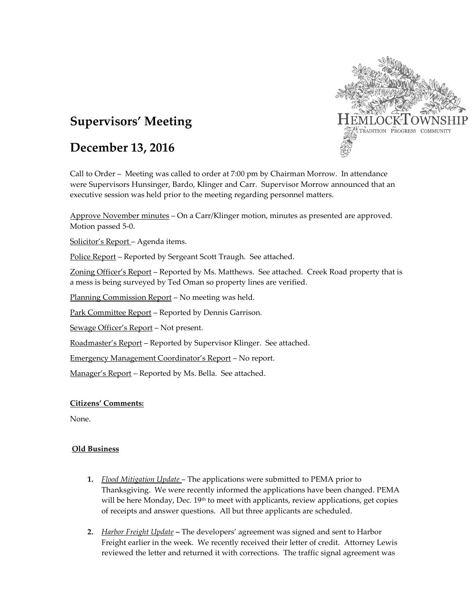

# **Supervisors' Meeting**

## **December 13, 2016**

Call to Order – Meeting was called to order at 7:00 pm by Chairman Morrow. In attendance were Supervisors Hunsinger, Bardo, Klinger and Carr. Supervisor Morrow announced that an executive session was held prior to the meeting regarding personnel matters.

Approve November minutes – On a Carr/Klinger motion, minutes as presented are approved. Motion passed 5-0.

Solicitor's Report – Agenda items.

Police Report - Reported by Sergeant Scott Traugh. See attached.

Zoning Officer's Report – Reported by Ms. Matthews. See attached. Creek Road property that is a mess is being surveyed by Ted Oman so property lines are verified.

Planning Commission Report – No meeting was held.

Park Committee Report – Reported by Dennis Garrison.

Sewage Officer's Report – Not present.

Roadmaster's Report - Reported by Supervisor Klinger. See attached.

Emergency Management Coordinator's Report – No report.

Manager's Report - Reported by Ms. Bella. See attached.

### **Citizens' Comments:**

None.

### **Old Business**

- **1.** *Flood Mitigation Update* The applications were submitted to PEMA prior to Thanksgiving. We were recently informed the applications have been changed. PEMA will be here Monday, Dec.  $19<sup>th</sup>$  to meet with applicants, review applications, get copies of receipts and answer questions. All but three applicants are scheduled.
- **2.** *Harbor Freight Update* **–** The developers' agreement was signed and sent to Harbor Freight earlier in the week. We recently received their letter of credit. Attorney Lewis reviewed the letter and returned it with corrections. The traffic signal agreement was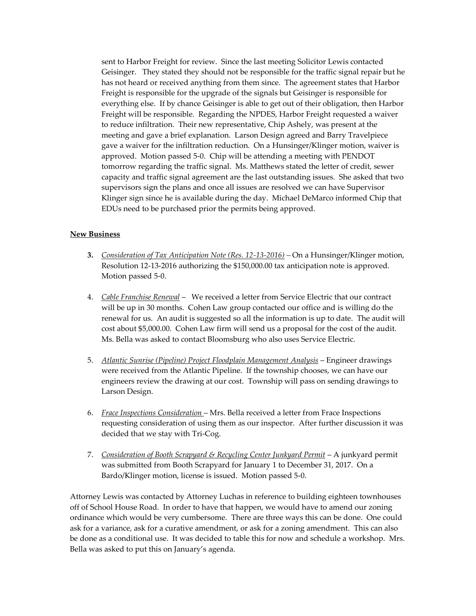sent to Harbor Freight for review. Since the last meeting Solicitor Lewis contacted Geisinger. They stated they should not be responsible for the traffic signal repair but he has not heard or received anything from them since. The agreement states that Harbor Freight is responsible for the upgrade of the signals but Geisinger is responsible for everything else. If by chance Geisinger is able to get out of their obligation, then Harbor Freight will be responsible. Regarding the NPDES, Harbor Freight requested a waiver to reduce infiltration. Their new representative, Chip Ashely, was present at the meeting and gave a brief explanation. Larson Design agreed and Barry Travelpiece gave a waiver for the infiltration reduction. On a Hunsinger/Klinger motion, waiver is approved. Motion passed 5-0. Chip will be attending a meeting with PENDOT tomorrow regarding the traffic signal. Ms. Matthews stated the letter of credit, sewer capacity and traffic signal agreement are the last outstanding issues. She asked that two supervisors sign the plans and once all issues are resolved we can have Supervisor Klinger sign since he is available during the day. Michael DeMarco informed Chip that EDUs need to be purchased prior the permits being approved.

#### **New Business**

- **3.** *Consideration of Tax Anticipation Note (Res. 12-13-2016) –* On a Hunsinger/Klinger motion, Resolution 12-13-2016 authorizing the \$150,000.00 tax anticipation note is approved. Motion passed 5-0.
- 4. *Cable Franchise Renewal* We received a letter from Service Electric that our contract will be up in 30 months. Cohen Law group contacted our office and is willing do the renewal for us. An audit is suggested so all the information is up to date. The audit will cost about \$5,000.00. Cohen Law firm will send us a proposal for the cost of the audit. Ms. Bella was asked to contact Bloomsburg who also uses Service Electric.
- 5. *Atlantic Sunrise (Pipeline) Project Floodplain Management Analysis* Engineer drawings were received from the Atlantic Pipeline. If the township chooses, we can have our engineers review the drawing at our cost. Township will pass on sending drawings to Larson Design.
- 6. *Frace Inspections Consideration*  Mrs. Bella received a letter from Frace Inspections requesting consideration of using them as our inspector. After further discussion it was decided that we stay with Tri-Cog.
- 7. *Consideration of Booth Scrapyard & Recycling Center Junkyard Permit* A junkyard permit was submitted from Booth Scrapyard for January 1 to December 31, 2017. On a Bardo/Klinger motion, license is issued. Motion passed 5-0.

Attorney Lewis was contacted by Attorney Luchas in reference to building eighteen townhouses off of School House Road. In order to have that happen, we would have to amend our zoning ordinance which would be very cumbersome. There are three ways this can be done. One could ask for a variance, ask for a curative amendment, or ask for a zoning amendment. This can also be done as a conditional use. It was decided to table this for now and schedule a workshop. Mrs. Bella was asked to put this on January's agenda.